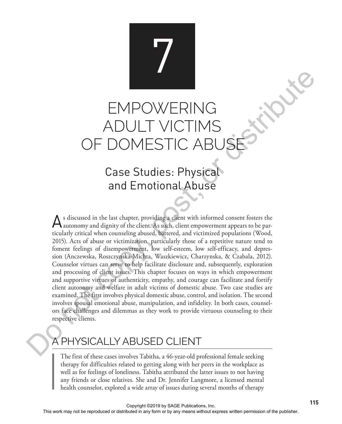

# EMPOWERING ADULT VICTIMS OF DOMESTIC ABU

# Case Studies: Physical and Emotional Abuse

A s discussed in the last chapter, providing a client with informed consent fosters the autonomy and dignity of the client. As such, client empowerment appears to be particularly critical when counseling abused, battered, and victimized populations (Wood, 2015). Acts of abuse or victimization, particularly those of a repetitive nature tend to foment feelings of disempowerment, low self-esteem, low self-efficacy, and depression (Anczewska, Roszczynska-Michta, Waszkiewicz, Charzynska, & Czabala, 2012). Counselor virtues can serve to help facilitate disclosure and, subsequently, exploration and processing of client issues. This chapter focuses on ways in which empowerment and supportive virtues of authenticity, empathy, and courage can facilitate and fortify client autonomy and welfare in adult victims of domestic abuse. Two case studies are examined. The first involves physical domestic abuse, control, and isolation. The second involves spousal emotional abuse, manipulation, and infidelity. In both cases, counselors face challenges and dilemmas as they work to provide virtuous counseling to their respective clients. This work may not be reproduced or distributed in any form or between the representation of the publisher. This was not be reproduced in any means with a space of the publisher. This were computed in any form or between th

## A PHYSICALLY ABUSED CLIENT

The first of these cases involves Tabitha, a 46-year-old professional female seeking therapy for difficulties related to getting along with her peers in the workplace as well as for feelings of loneliness. Tabitha attributed the latter issues to not having any friends or close relatives. She and Dr. Jennifer Langmore, a licensed mental health counselor, explored a wide array of issues during several months of therapy

Copyright ©2019 by SAGE Publications, Inc.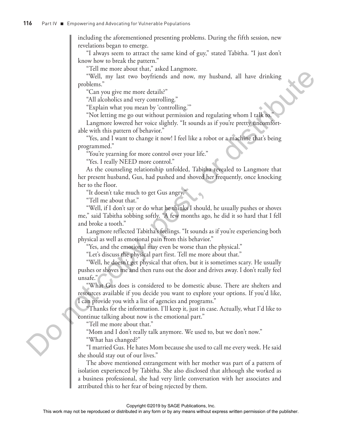including the aforementioned presenting problems. During the fifth session, new revelations began to emerge.

"I always seem to attract the same kind of guy," stated Tabitha. "I just don't know how to break the pattern."

"Tell me more about that," asked Langmore.

"Well, my last two boyfriends and now, my husband, all have drinking problems."

"Can you give me more details?"

"All alcoholics and very controlling."

"Explain what you mean by 'controlling.'"

"Not letting me go out without permission and regulating whom I talk to."

Langmore lowered her voice slightly. "It sounds as if you're pretty uncomfortable with this pattern of behavior."

"Yes, and I want to change it now! I feel like a robot or a machine that's being programmed."

"You're yearning for more control over your life."

"Yes. I really NEED more control."

As the counseling relationship unfolded, Tabitha revealed to Langmore that her present husband, Gus, had pushed and shoved her frequently, once knocking her to the floor.

"It doesn't take much to get Gus angry."

"Tell me about that."

"Well, if I don't say or do what he thinks I should, he usually pushes or shoves me," said Tabitha sobbing softly. "A few months ago, he did it so hard that I fell and broke a tooth."

Langmore reflected Tabitha's feelings. "It sounds as if you're experiencing both physical as well as emotional pain from this behavior."

"Yes, and the emotional may even be worse than the physical."

"Let's discuss the physical part first. Tell me more about that."

"Well, he doesn't get physical that often, but it is sometimes scary. He usually pushes or shoves me and then runs out the door and drives away. I don't really feel unsafe."

"What Gus does is considered to be domestic abuse. There are shelters and resources available if you decide you want to explore your options. If you'd like, I can provide you with a list of agencies and programs."

"Thanks for the information. I'll keep it, just in case. Actually, what I'd like to continue talking about now is the emotional part."

"Tell me more about that."

"Mom and I don't really talk anymore. We used to, but we don't now."

"What has changed?"

"I married Gus. He hates Mom because she used to call me every week. He said she should stay out of our lives."

The above mentioned estrangement with her mother was part of a pattern of isolation experienced by Tabitha. She also disclosed that although she worked as a business professional, she had very little conversation with her associates and attributed this to her fear of being rejected by them. work may not the repression of the reproduced or distributed in any form of the publisher. The reproduced in any form or boundary  $\sim$  the publisher. The reproduced in the publisher was the control of the Distribution of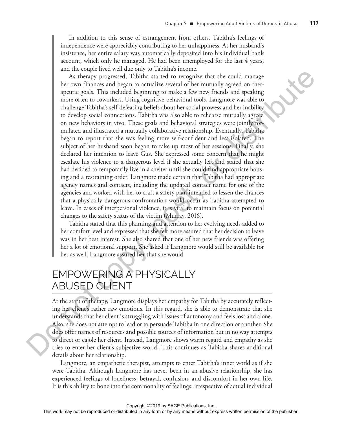In addition to this sense of estrangement from others, Tabitha's feelings of independence were appreciably contributing to her unhappiness. At her husband's insistence, her entire salary was automatically deposited into his individual bank account, which only he managed. He had been unemployed for the last 4 years, and the couple lived well due only to Tabitha's income.

As therapy progressed, Tabitha started to recognize that she could manage her own finances and began to actualize several of her mutually agreed on therapeutic goals. This included beginning to make a few new friends and speaking more often to coworkers. Using cognitive-behavioral tools, Langmore was able to challenge Tabitha's self-defeating beliefs about her social prowess and her inability to develop social connections. Tabitha was also able to rehearse mutually agreed on new behaviors in vivo. These goals and behavioral strategies were jointly formulated and illustrated a mutually collaborative relationship. Eventually, Tabitha began to report that she was feeling more self-confident and less isolated. The subject of her husband soon began to take up most of her sessions. Finally, she declared her intention to leave Gus. She expressed some concern that he might escalate his violence to a dangerous level if she actually left and stated that she had decided to temporarily live in a shelter until she could find appropriate housing and a restraining order. Langmore made certain that Tabitha had appropriate agency names and contacts, including the updated contact name for one of the agencies and worked with her to craft a safety plan intended to lessen the chances that a physically dangerous confrontation would occur as Tabitha attempted to leave. In cases of interpersonal violence, it is vital to maintain focus on potential changes to the safety status of the victim (Murray, 2016). The matrix may not be represented or the results of the results of the results of the results of the results of the results of the results of the publisher of the publisher of the publishers of the publishers of the publi

Tabitha stated that this planning and attention to her evolving needs added to her comfort level and expressed that she felt more assured that her decision to leave was in her best interest. She also shared that one of her new friends was offering her a lot of emotional support. She asked if Langmore would still be available for her as well. Langmore assured her that she would.

## EMPOWERING A PHYSICALLY ABUSED CLIENT

At the start of therapy, Langmore displays her empathy for Tabitha by accurately reflecting her client's rather raw emotions. In this regard, she is able to demonstrate that she understands that her client is struggling with issues of autonomy and feels lost and alone. Also, she does not attempt to lead or to persuade Tabitha in one direction or another. She does offer names of resources and possible sources of information but in no way attempts to direct or cajole her client. Instead, Langmore shows warm regard and empathy as she tries to enter her client's subjective world. This continues as Tabitha shares additional details about her relationship.

Langmore, an empathetic therapist, attempts to enter Tabitha's inner world as if she were Tabitha. Although Langmore has never been in an abusive relationship, she has experienced feelings of loneliness, betrayal, confusion, and discomfort in her own life. It is this ability to hone into the commonality of feelings, irrespective of actual individual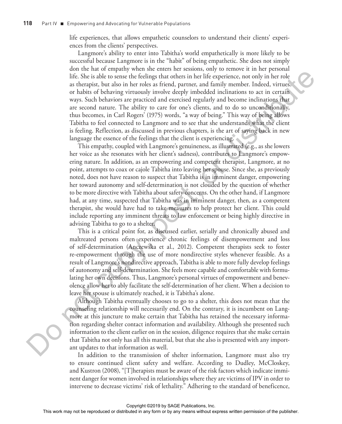life experiences, that allows empathetic counselors to understand their clients' experiences from the clients' perspectives.

Langmore's ability to enter into Tabitha's world empathetically is more likely to be successful because Langmore is in the "habit" of being empathetic. She does not simply don the hat of empathy when she enters her sessions, only to remove it in her personal life. She is able to sense the feelings that others in her life experience, not only in her role as therapist, but also in her roles as friend, partner, and family member. Indeed, virtues or habits of behaving virtuously involve deeply imbedded inclinations to act in certain ways. Such behaviors are practiced and exercised regularly and become inclinations that are second nature. The ability to care for one's clients, and to do so unconditionally, thus becomes, in Carl Rogers' (1975) words, "a way of being." This way of being allows Tabitha to feel connected to Langmore and to see that she understands what the client is feeling. Reflection, as discussed in previous chapters, is the art of saying back in new language the essence of the feelings that the client is experiencing.

This empathy, coupled with Langmore's genuineness, as illustrated (e.g., as she lowers her voice as she resonates with her client's sadness), contributes to Langmore's empowering nature. In addition, as an empowering and competent therapist, Langmore, at no point, attempts to coax or cajole Tabitha into leaving her spouse. Since she, as previously noted, does not have reason to suspect that Tabitha is in imminent danger, empowering her toward autonomy and self-determination is not clouded by the question of whether to be more directive with Tabitha about safety concerns. On the other hand, if Langmore had, at any time, suspected that Tabitha was in imminent danger, then, as a competent therapist, she would have had to take measures to help protect her client. This could include reporting any imminent threats to law enforcement or being highly directive in advising Tabitha to go to a shelter. The Since sides also means we repressed or distributed in any fit is experimented in any fit is the result of the results of behavior as particle and the control or by any solution of the publisher of the burstigue in any

This is a critical point for, as discussed earlier, serially and chronically abused and maltreated persons often experience chronic feelings of disempowerment and loss of self-determination (Anczewska et al., 2012). Competent therapists seek to foster re-empowerment through the use of more nondirective styles whenever feasible. As a result of Langmore's nondirective approach, Tabitha is able to more fully develop feelings of autonomy and self-determination. She feels more capable and comfortable with formulating her own decisions. Thus, Langmore's personal virtues of empowerment and benevolence allow her to ably facilitate the self-determination of her client. When a decision to leave her spouse is ultimately reached, it is Tabitha's alone.

Although Tabitha eventually chooses to go to a shelter, this does not mean that the counseling relationship will necessarily end. On the contrary, it is incumbent on Langmore at this juncture to make certain that Tabitha has retained the necessary information regarding shelter contact information and availability. Although she presented such information to the client earlier on in the session, diligence requires that she make certain that Tabitha not only has all this material, but that she also is presented with any important updates to that information as well.

In addition to the transmission of shelter information, Langmore must also try to ensure continued client safety and welfare. According to Dudley, McCloskey, and Kustron (2008), "[T]herapists must be aware of the risk factors which indicate imminent danger for women involved in relationships where they are victims of IPV in order to intervene to decrease victims' risk of lethality." Adhering to the standard of beneficence,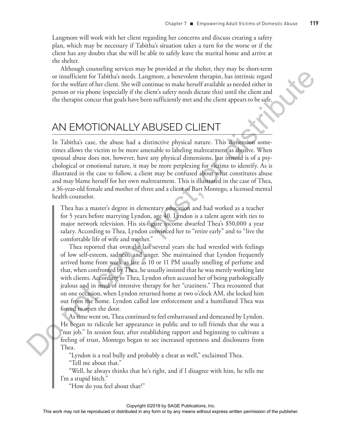Langmore will work with her client regarding her concerns and discuss creating a safety plan, which may be necessary if Tabitha's situation takes a turn for the worse or if the client has any doubts that she will be able to safely leave the marital home and arrive at the shelter.

Although counseling services may be provided at the shelter, they may be short-term or insufficient for Tabitha's needs. Langmore, a benevolent therapist, has intrinsic regard for the welfare of her client. She will continue to make herself available as needed either in person or via phone (especially if the client's safety needs dictate this) until the client and the therapist concur that goals have been sufficiently met and the client appears to be safe.

### AN EMOTIONALLY ABUSED CLIENT

In Tabitha's case, the abuse had a distinctive physical nature. This dimension sometimes allows the victim to be more amenable to labeling maltreatment as abusive. When spousal abuse does not, however, have any physical dimensions, but instead is of a psychological or emotional nature, it may be more perplexing for victims to identify. As is illustrated in the case to follow, a client may be confused about what constitutes abuse and may blame herself for her own maltreatment. This is illustrated in the case of Thea, a 36-year-old female and mother of three and a client of Bart Montego, a licensed mental health counselor.

Thea has a master's degree in elementary education and had worked as a teacher for 5 years before marrying Lyndon, age 40. Lyndon is a talent agent with ties to major network television. His six-figure income dwarfed Thea's \$50,000 a year salary. According to Thea, Lyndon convinced her to "retire early" and to "live the comfortable life of wife and mother."

Thea reported that over the last several years she had wrestled with feelings of low self-esteem, sadness, and anger. She maintained that Lyndon frequently arrived home from work as late as 10 or 11 PM usually smelling of perfume and that, when confronted by Thea, he usually insisted that he was merely working late with clients. According to Thea, Lyndon often accused her of being pathologically jealous and in need of intensive therapy for her "craziness." Thea recounted that on one occasion, when Lyndon returned home at two o'clock AM, she locked him out from the home. Lyndon called law enforcement and a humiliated Thea was forced to open the door. or market methods may be reproduced to the reproduced or distributed in any methods with the second or the second or the second or the publisher or between the second in the second or the publisher. This includes we can b

As time went on, Thea continued to feel embarrassed and demeaned by Lyndon. He began to ridicule her appearance in public and to tell friends that she was a "nut job." In session four, after establishing rapport and beginning to cultivate a feeling of trust, Montego began to see increased openness and disclosures from Thea.

"Lyndon is a real bully and probably a cheat as well," exclaimed Thea. "Tell me about that."

"Well, he always thinks that he's right, and if I disagree with him, he tells me I'm a stupid bitch."

"How do you feel about that?"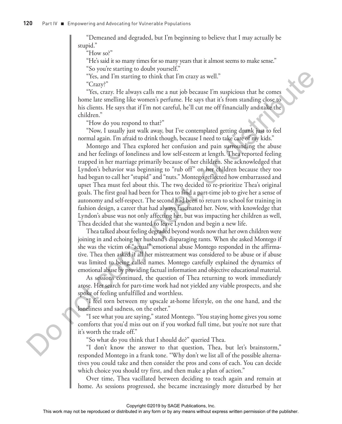"Demeaned and degraded, but I'm beginning to believe that I may actually be stupid."

"How so?"

"He's said it so many times for so many years that it almost seems to make sense."

"So you're starting to doubt yourself."

"Yes, and I'm starting to think that I'm crazy as well."

"Crazy?"

"Yes, crazy. He always calls me a nut job because I'm suspicious that he comes home late smelling like women's perfume. He says that it's from standing close to his clients. He says that if I'm not careful, he'll cut me off financially and take the children."

"How do you respond to that?"

"Now, I usually just walk away, but I've contemplated getting drunk just to feel normal again. I'm afraid to drink though, because I need to take care of my kids."

Montego and Thea explored her confusion and pain surrounding the abuse and her feelings of loneliness and low self-esteem at length. Thea reported feeling trapped in her marriage primarily because of her children. She acknowledged that Lyndon's behavior was beginning to "rub off" on her children because they too had begun to call her "stupid" and "nuts." Montego reflected how embarrassed and upset Thea must feel about this. The two decided to re-prioritize Thea's original goals. The first goal had been for Thea to find a part-time job to give her a sense of autonomy and self-respect. The second had been to return to school for training in fashion design, a career that had always fascinated her. Now, with knowledge that Lyndon's abuse was not only affecting her, but was impacting her children as well, Thea decided that she wanted to leave Lyndon and begin a new life. The matrix may not be reproduced to the matrix or distributed in any means of the control or the reproduced or the publisher. The any channel in any means we can be reproduced by any means with the simulation of the publi

Thea talked about feeling degraded beyond words now that her own children were joining in and echoing her husband's disparaging rants. When she asked Montego if she was the victim of "actual" emotional abuse Montego responded in the affirmative. Thea then asked if all her mistreatment was considered to be abuse or if abuse was limited to being called names. Montego carefully explained the dynamics of emotional abuse by providing factual information and objective educational material.

As sessions continued, the question of Thea returning to work immediately arose. Her search for part-time work had not yielded any viable prospects, and she spoke of feeling unfulfilled and worthless.

"I feel torn between my upscale at-home lifestyle, on the one hand, and the loneliness and sadness, on the other."

"I see what you are saying," stated Montego. "You staying home gives you some comforts that you'd miss out on if you worked full time, but you're not sure that it's worth the trade off."

"So what do you think that I should do?" queried Thea.

"I don't know the answer to that question, Thea, but let's brainstorm," responded Montego in a frank tone. "Why don't we list all of the possible alternatives you could take and then consider the pros and cons of each. You can decide which choice you should try first, and then make a plan of action."

Over time, Thea vacillated between deciding to teach again and remain at home. As sessions progressed, she became increasingly more disturbed by her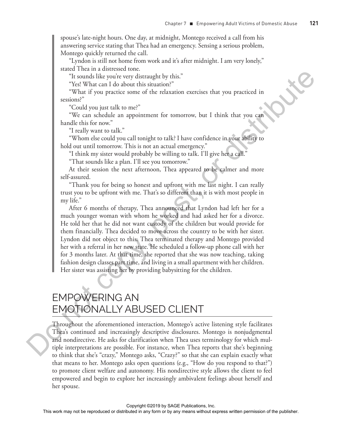spouse's late-night hours. One day, at midnight, Montego received a call from his answering service stating that Thea had an emergency. Sensing a serious problem, Montego quickly returned the call.

"Lyndon is still not home from work and it's after midnight. I am very lonely," stated Thea in a distressed tone.

"It sounds like you're very distraught by this."

"Yes! What can I do about this situation?"

"What if you practice some of the relaxation exercises that you practiced in sessions?"

"Could you just talk to me?"

"We can schedule an appointment for tomorrow, but I think that you can handle this for now."

"I really want to talk."

"Whom else could you call tonight to talk? I have confidence in your ability to hold out until tomorrow. This is not an actual emergency."

"I think my sister would probably be willing to talk. I'll give her a call."

"That sounds like a plan. I'll see you tomorrow."

At their session the next afternoon, Thea appeared to be calmer and more self-assured.

"Thank you for being so honest and upfront with me last night. I can really trust you to be upfront with me. That's so different than it is with most people in my life."

After 6 months of therapy, Thea announced that Lyndon had left her for a much younger woman with whom he worked and had asked her for a divorce. He told her that he did not want custody of the children but would provide for them financially. Thea decided to move across the country to be with her sister. Lyndon did not object to this. Thea terminated therapy and Montego provided her with a referral in her new state. He scheduled a follow-up phone call with her for 3 months later. At that time, she reported that she was now teaching, taking fashion design classes part time, and living in a small apartment with her children. Her sister was assisting her by providing babysitting for the children.

## EMPOWERING AN EMOTIONALLY ABUSED CLIENT

Throughout the aforementioned interaction, Montego's active listening style facilitates Thea's continued and increasingly descriptive disclosures. Montego is nonjudgmental and nondirective. He asks for clarification when Thea uses terminology for which multiple interpretations are possible. For instance, when Thea reports that she's beginning to think that she's "crazy," Montego asks, "Crazy?" so that she can explain exactly what that means to her. Montego asks open questions (e.g., "How do you respond to that?") to promote client welfare and autonomy. His nondirective style allows the client to feel empowered and begin to explore her increasingly ambivalent feelings about herself and her spouse. Throughout the repressed or distributed or distributed in any form or by any form or by any means with the repression of the publisher or the publisher or by any means of the publisher. The repression of the publisher of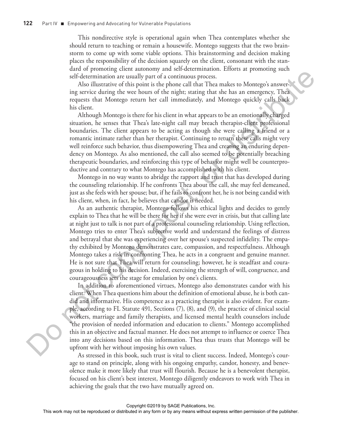This nondirective style is operational again when Thea contemplates whether she should return to teaching or remain a housewife. Montego suggests that the two brainstorm to come up with some viable options. This brainstorming and decision making places the responsibility of the decision squarely on the client, consonant with the standard of promoting client autonomy and self-determination. Efforts at promoting such self-determination are usually part of a continuous process.

Also illustrative of this point is the phone call that Thea makes to Montego's answering service during the wee hours of the night; stating that she has an emergency, Thea requests that Montego return her call immediately, and Montego quickly calls back his client.

Although Montego is there for his client in what appears to be an emotionally charged situation, he senses that Thea's late-night call may breach therapist-client professional boundaries. The client appears to be acting as though she were calling a friend or a romantic intimate rather than her therapist. Continuing to return these calls might very well reinforce such behavior, thus disempowering Thea and creating an enduring dependency on Montego. As also mentioned, the call also seemed to be potentially breaching therapeutic boundaries, and reinforcing this type of behavior might well be counterproductive and contrary to what Montego has accomplished with his client.

Montego in no way wants to abridge the rapport and trust that has developed during the counseling relationship. If he confronts Thea about the call, she may feel demeaned, just as she feels with her spouse; but, if he fails to confront her, he is not being candid with his client, when, in fact, he believes that candor is needed.

As an authentic therapist, Montego follows his ethical lights and decides to gently explain to Thea that he will be there for her if she were ever in crisis, but that calling late at night just to talk is not part of a professional counseling relationship. Using reflection, Montego tries to enter Thea's subjective world and understand the feelings of distress and betrayal that she was experiencing over her spouse's suspected infidelity. The empathy exhibited by Montego demonstrates care, compassion, and respectfulness. Although Montego takes a risk in confronting Thea, he acts in a congruent and genuine manner. He is not sure that Thea will return for counseling; however, he is steadfast and courageous in holding to his decision. Indeed, exercising the strength of will, congruence, and courageousness sets the stage for emulation by one's clients. The counterparticles or the control or the publisher and the reproduced in any means were deniant any form or by any means were deniant any the state and control or the publisher. The state and control of the publisher an

In addition to aforementioned virtues, Montego also demonstrates candor with his client. When Thea questions him about the definition of emotional abuse, he is both candid and informative. His competence as a practicing therapist is also evident. For example, according to FL Statute 491, Sections (7), (8), and (9), the practice of clinical social workers, marriage and family therapists, and licensed mental health counselors include "the provision of needed information and education to clients." Montego accomplished this in an objective and factual manner. He does not attempt to influence or coerce Thea into any decisions based on this information. Thea thus trusts that Montego will be upfront with her without imposing his own values.

As stressed in this book, such trust is vital to client success. Indeed, Montego's courage to stand on principle, along with his ongoing empathy, candor, honesty, and benevolence make it more likely that trust will flourish. Because he is a benevolent therapist, focused on his client's best interest, Montego diligently endeavors to work with Thea in achieving the goals that the two have mutually agreed on.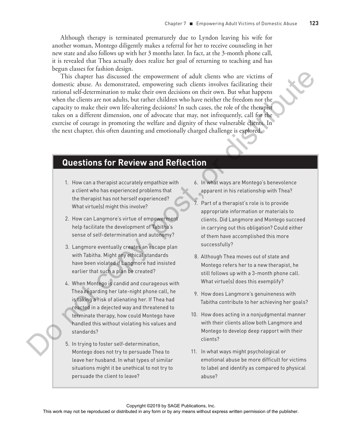Although therapy is terminated prematurely due to Lyndon leaving his wife for another woman, Montego diligently makes a referral for her to receive counseling in her new state and also follows up with her 3 months later. In fact, at the 3-month phone call, it is revealed that Thea actually does realize her goal of returning to teaching and has begun classes for fashion design.

This chapter has discussed the empowerment of adult clients who are victims of domestic abuse. As demonstrated, empowering such clients involves facilitating their rational self-determination to make their own decisions on their own. But what happens when the clients are not adults, but rather children who have neither the freedom nor the capacity to make their own life-altering decisions? In such cases, the role of the therapist takes on a different dimension, one of advocate that may, not infrequently, call for the exercise of courage in promoting the welfare and dignity of these vulnerable clients. In the next chapter, this often daunting and emotionally charged challenge is explored. This charge has distributed in any means who is the controlleration of the reproduced or distribution or distributed in any means when the publisher and the publisher and the publisher and the publisher and the publisher

#### **Questions for Review and Reflection**

- 1. How can a therapist accurately empathize with a client who has experienced problems that the therapist has not herself experienced? What virtue(s) might this involve?
- 2. How can Langmore's virtue of empowerment help facilitate the development of Tabitha's sense of self-determination and autonomy?
- 3. Langmore eventually creates an escape plan with Tabitha. Might any ethical standards have been violated if Langmore had insisted earlier that such a plan be created?
- 4. When Montego is candid and courageous with Thea regarding her late-night phone call, he is taking a risk of alienating her. If Thea had reacted in a dejected way and threatened to terminate therapy, how could Montego have handled this without violating his values and standards?
- 5. In trying to foster self-determination, Montego does not try to persuade Thea to leave her husband. In what types of similar situations might it be unethical to not try to persuade the client to leave?
- 6. In what ways are Montego's benevolence apparent in his relationship with Thea?
- 7. Part of a therapist's role is to provide appropriate information or materials to clients. Did Langmore and Montego succeed in carrying out this obligation? Could either of them have accomplished this more successfully?
- 8. Although Thea moves out of state and Montego refers her to a new therapist, he still follows up with a 3-month phone call. What virtue(s) does this exemplify?
- 9. How does Langmore's genuineness with Tabitha contribute to her achieving her goals?
- 10. How does acting in a nonjudgmental manner with their clients allow both Langmore and Montego to develop deep rapport with their clients?
- 11. In what ways might psychological or emotional abuse be more difficult for victims to label and identify as compared to physical abuse?